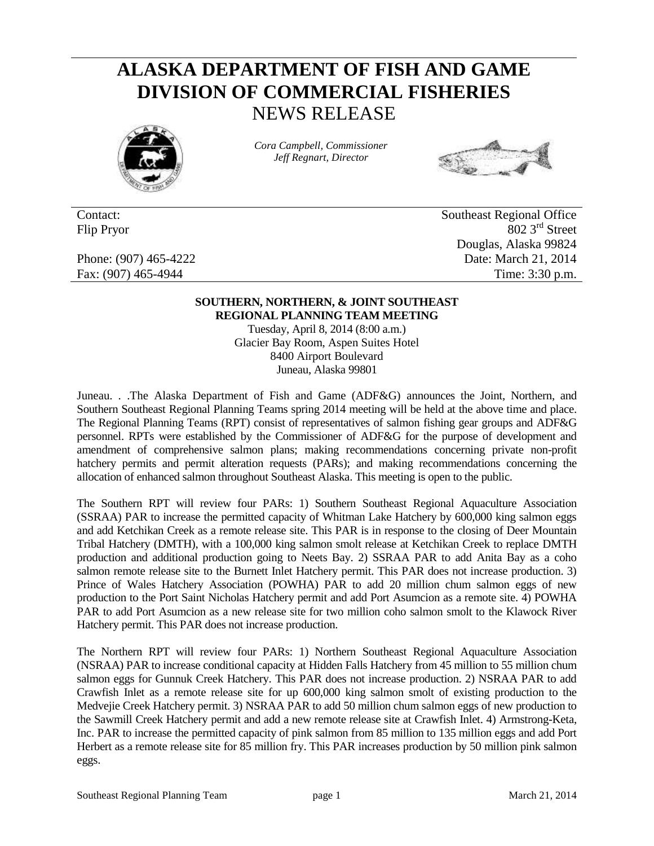## **ALASKA DEPARTMENT OF FISH AND GAME DIVISION OF COMMERCIAL FISHERIES** NEWS RELEASE



*Cora Campbell, Commissioner Jeff Regnart, Director*



Contact: Southeast Regional Office Flip Pryor 802 3<sup>rd</sup> Street Douglas, Alaska 99824 Phone: (907) 465-4222 Date: March 21, 2014 Fax: (907) 465-4944 Time: 3:30 p.m.

## **SOUTHERN, NORTHERN, & JOINT SOUTHEAST REGIONAL PLANNING TEAM MEETING**

Tuesday, April 8, 2014 (8:00 a.m.) Glacier Bay Room, Aspen Suites Hotel 8400 Airport Boulevard Juneau, Alaska 99801

Juneau. . .The Alaska Department of Fish and Game (ADF&G) announces the Joint, Northern, and Southern Southeast Regional Planning Teams spring 2014 meeting will be held at the above time and place. The Regional Planning Teams (RPT) consist of representatives of salmon fishing gear groups and ADF&G personnel. RPTs were established by the Commissioner of ADF&G for the purpose of development and amendment of comprehensive salmon plans; making recommendations concerning private non-profit hatchery permits and permit alteration requests (PARs); and making recommendations concerning the allocation of enhanced salmon throughout Southeast Alaska. This meeting is open to the public.

The Southern RPT will review four PARs: 1) Southern Southeast Regional Aquaculture Association (SSRAA) PAR to increase the permitted capacity of Whitman Lake Hatchery by 600,000 king salmon eggs and add Ketchikan Creek as a remote release site. This PAR is in response to the closing of Deer Mountain Tribal Hatchery (DMTH), with a 100,000 king salmon smolt release at Ketchikan Creek to replace DMTH production and additional production going to Neets Bay. 2) SSRAA PAR to add Anita Bay as a coho salmon remote release site to the Burnett Inlet Hatchery permit. This PAR does not increase production. 3) Prince of Wales Hatchery Association (POWHA) PAR to add 20 million chum salmon eggs of new production to the Port Saint Nicholas Hatchery permit and add Port Asumcion as a remote site. 4) POWHA PAR to add Port Asumcion as a new release site for two million coho salmon smolt to the Klawock River Hatchery permit. This PAR does not increase production.

The Northern RPT will review four PARs: 1) Northern Southeast Regional Aquaculture Association (NSRAA) PAR to increase conditional capacity at Hidden Falls Hatchery from 45 million to 55 million chum salmon eggs for Gunnuk Creek Hatchery. This PAR does not increase production. 2) NSRAA PAR to add Crawfish Inlet as a remote release site for up 600,000 king salmon smolt of existing production to the Medvejie Creek Hatchery permit. 3) NSRAA PAR to add 50 million chum salmon eggs of new production to the Sawmill Creek Hatchery permit and add a new remote release site at Crawfish Inlet. 4) Armstrong-Keta, Inc. PAR to increase the permitted capacity of pink salmon from 85 million to 135 million eggs and add Port Herbert as a remote release site for 85 million fry. This PAR increases production by 50 million pink salmon eggs.